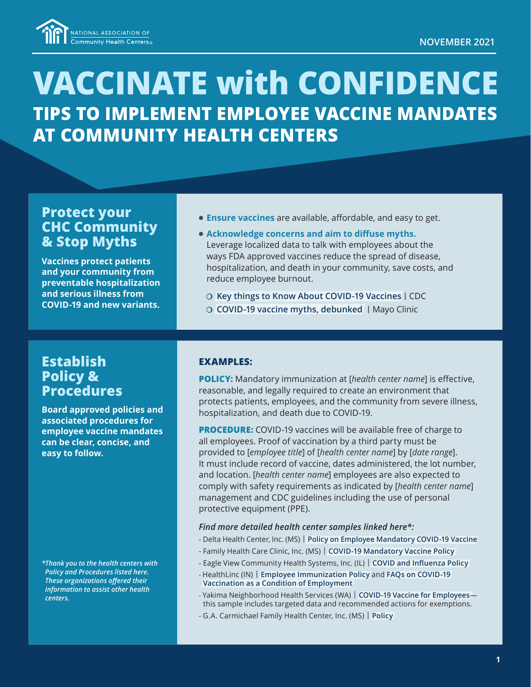

# **VACCINATE with CONFIDENCE TIPS TO IMPLEMENT EMPLOYEE VACCINE MANDATES AT COMMUNITY HEALTH CENTERS**

### **Protect your CHC Community & Stop Myths**

**Vaccines protect patients and your community from preventable hospitalization and serious illness from COVID-19 and new variants.** 

- **Ensure vaccines** are available, affordable, and easy to get.
- **Acknowledge concerns and aim to diffuse myths.** Leverage localized data to talk with employees about the ways FDA approved vaccines reduce the spread of disease, hospitalization, and death in your community, save costs, and reduce employee burnout.
	- P **[Key things to Know About COVID-19 Vaccines](https://www.cdc.gov/coronavirus/2019-ncov/vaccines/keythingstoknow.html?s_cid=10493:covid%2019%20vaccine:sem.ga:p:RG:GM:gen:PTN:FY21) |** CDC
	- P **[COVID-19 vaccine myths, debunked](https://www.mayoclinichealthsystem.org/hometown-health/featured-topic/covid-19-vaccine-myths-debunked) |** Mayo Clinic

## **Establish Policy & Procedures**

**Board approved policies and associated procedures for employee vaccine mandates can be clear, concise, and easy to follow.** 

*\*Thank you to the health centers with Policy and Procedures listed here. These organizations offered their information to assist other health centers.*

#### **EXAMPLES:**

**POLICY:** Mandatory immunization at [*health center name*] is effective, reasonable, and legally required to create an environment that protects patients, employees, and the community from severe illness, hospitalization, and death due to COVID-19.

**PROCEDURE:** COVID-19 vaccines will be available free of charge to all employees. Proof of vaccination by a third party must be provided to [*employee title*] of [*health center name*] by [*date range*]. It must include record of vaccine, dates administered, the lot number, and location. [*health center name*] employees are also expected to comply with safety requirements as indicated by [*health center name*] management and CDC guidelines including the use of personal protective equipment (PPE).

#### *Find more detailed health center samples linked here\*:*

- Delta Health Center, Inc. (MS) | **[Policy on Employee Mandatory COVID-19 Vaccine](https://cdn1.digitellcdn.com/uploads/nachc/redactor/f4d9f7f64d6fb2033eae7edad172f3af72052709a703ffb3d0cfa7b3e86957f5.docx)**
- Family Health Care Clinic, Inc. (MS) | **[COVID-19 Mandatory Vaccine Policy](https://cdn1.digitellcdn.com/uploads/nachc/redactor/d757601b211e079c27fcc7df8a17cc06c51eee80a5711a9e18ac29d7f2f1e1c2.docx)**
- Eagle View Community Health Systems, Inc. (IL) | **[COVID and Influenza Policy](https://cdn1.digitellcdn.com/uploads/nachc/redactor/87965d8d14a5a476f9899508f48870a0bf0f97e68cff6dc2fc1e402052ecea6f.docx)**
- HealthLinc (IN) | **[Employee Immunization Policy](https://cdn1.digitellcdn.com/uploads/nachc/redactor/afffa267ddb808cb52b44b255eca23598efb0b2073fecddf165877e2eef5a72b.pdf)** and **[FAQs on COVID-19](https://cdn1.digitellcdn.com/uploads/nachc/redactor/dd2acd206fb1b79152e67efc24bc6c327d5e8f63dc523094fd5117578c3915a5.pdf)  [Vaccination as a Condition of Employment](https://cdn1.digitellcdn.com/uploads/nachc/redactor/dd2acd206fb1b79152e67efc24bc6c327d5e8f63dc523094fd5117578c3915a5.pdf)**
- Yakima Neighborhood Health Services (WA) | **[COVID-19 Vaccine for Employees](https://cdn1.digitellcdn.com/uploads/nachc/redactor/d2d2054f2c7d0967d4db088c737dd8195b10e5cd801da8d8acd014b25caee859.pdf)** this sample includes targeted data and recommended actions for exemptions.
- G.A. Carmichael Family Health Center, Inc. (MS) | **[Policy](https://cdn1.digitellcdn.com/uploads/nachc/redactor/d62f9564940df2032261d50bc04f8388e4faa54770aa60bae8e47a3a6f8739ed.pdf)**